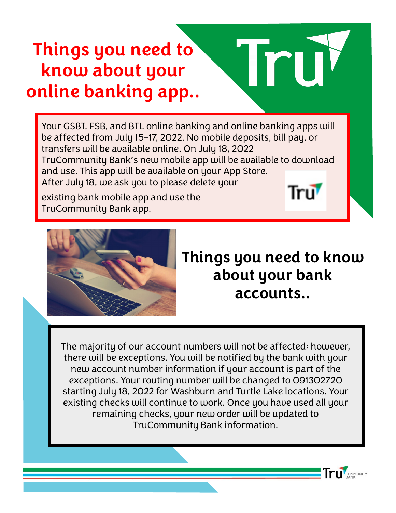# **Things you need to know about your online banking app..**

Your GSBT, FSB, and BTL online banking and online banking apps will be affected from July 15-17, 2022. No mobile deposits, bill pay, or transfers will be available online. On July 18, 2022 TruCommunity Bank's new mobile app will be available to download and use. This app will be available on your App Store. After July 18, we ask you to please delete your Tru

existing bank mobile app and use the TruCommunity Bank app.



#### **Things you need to know about your bank accounts..**

COMMUNITY

The majority of our account numbers will not be affected; however, there will be exceptions. You will be notified by the bank with your new account number information if your account is part of the exceptions. Your routing number will be changed to 091302720 starting July 18, 2022 for Washburn and Turtle Lake locations. Your existing checks will continue to work. Once you have used all your remaining checks, your new order will be updated to TruCommunity Bank information.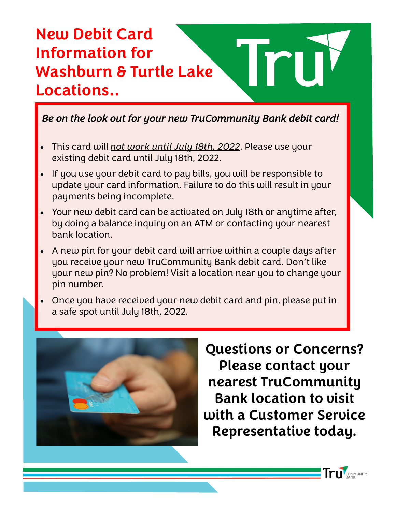#### **New Debit Card Information for Washburn & Turtle Lake Locations..**

*Be on the look out for your new TruCommunity Bank debit card!* 

- This card will *not work until July 18th, 2022*. Please use your existing debit card until July 18th, 2022.
- If you use your debit card to pay bills, you will be responsible to update your card information. Failure to do this will result in your payments being incomplete.
- Your new debit card can be activated on July 18th or anytime after, by doing a balance inquiry on an ATM or contacting your nearest bank location.
- A new pin for your debit card will arrive within a couple days after you receive your new TruCommunity Bank debit card. Don't like your new pin? No problem! Visit a location near you to change your pin number.
- Once you have received your new debit card and pin, please put in a safe spot until July 18th, 2022.



**Questions or Concerns? Please contact your nearest TruCommunity Bank location to visit with a Customer Service Representative today.**

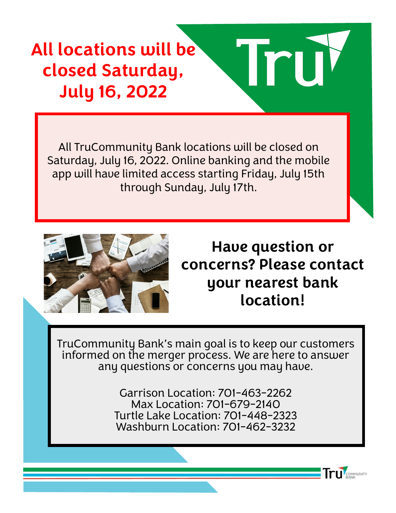## **All locations will be closed Saturday, July 16, 2022**

All TruCommunity Bank locations will be closed on Saturday, July 16, 2022. Online banking and the mobile app will have limited access starting Friday, July 15th through Sunday, July 17th.



**Have question or concerns? Please contact your nearest bank location!**

COMMUNITY

TruCommunity Bank's main goal is to keep our customers informed on the merger process. We are here to answer any questions or concerns you may have.

> Garrison Location: 701-463-2262 Max Location: 701-679-2140 Turtle Lake Location: 701-448-2323 Washburn Location: 701-462-3232